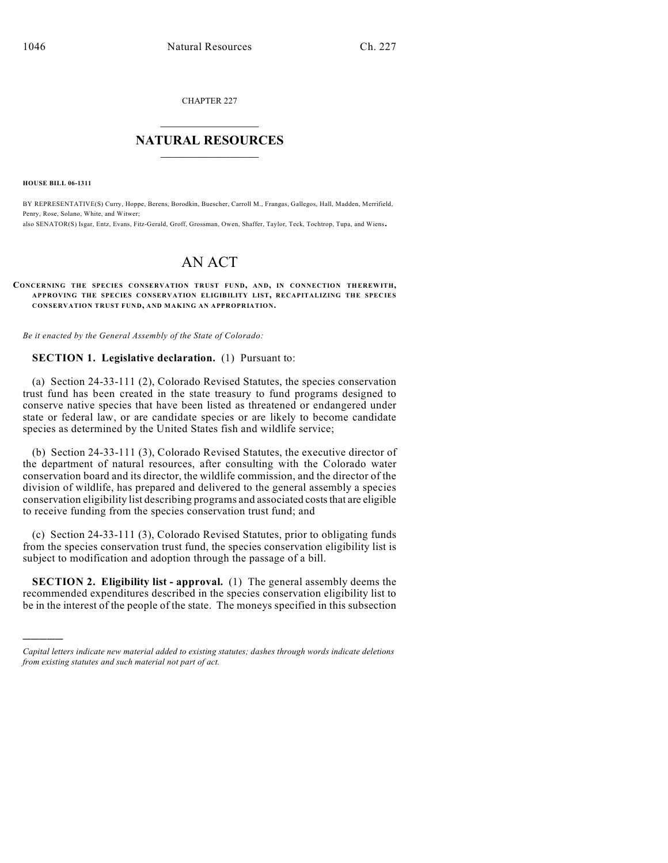CHAPTER 227

## $\overline{\phantom{a}}$  . The set of the set of the set of the set of the set of the set of the set of the set of the set of the set of the set of the set of the set of the set of the set of the set of the set of the set of the set o **NATURAL RESOURCES**  $\frac{1}{\sqrt{2}}$  , where  $\frac{1}{\sqrt{2}}$  ,  $\frac{1}{\sqrt{2}}$  ,  $\frac{1}{\sqrt{2}}$

**HOUSE BILL 06-1311**

)))))

BY REPRESENTATIVE(S) Curry, Hoppe, Berens, Borodkin, Buescher, Carroll M., Frangas, Gallegos, Hall, Madden, Merrifield, Penry, Rose, Solano, White, and Witwer;

also SENATOR(S) Isgar, Entz, Evans, Fitz-Gerald, Groff, Grossman, Owen, Shaffer, Taylor, Teck, Tochtrop, Tupa, and Wiens.

# AN ACT

#### **CONCERNING THE SPECIES CONSERVATION TRUST FUND, AND, IN CONNECTION THEREWITH, APPROVING THE SPECIES CONSERVATION ELIGIBILITY LIST, RECAPITALIZING THE SPECIES CONSERVATION TRUST FUND, AND MAKING AN APPROPRIATION.**

*Be it enacted by the General Assembly of the State of Colorado:*

### **SECTION 1. Legislative declaration.** (1) Pursuant to:

(a) Section 24-33-111 (2), Colorado Revised Statutes, the species conservation trust fund has been created in the state treasury to fund programs designed to conserve native species that have been listed as threatened or endangered under state or federal law, or are candidate species or are likely to become candidate species as determined by the United States fish and wildlife service;

(b) Section 24-33-111 (3), Colorado Revised Statutes, the executive director of the department of natural resources, after consulting with the Colorado water conservation board and its director, the wildlife commission, and the director of the division of wildlife, has prepared and delivered to the general assembly a species conservation eligibility list describing programs and associated costs that are eligible to receive funding from the species conservation trust fund; and

(c) Section 24-33-111 (3), Colorado Revised Statutes, prior to obligating funds from the species conservation trust fund, the species conservation eligibility list is subject to modification and adoption through the passage of a bill.

**SECTION 2. Eligibility list - approval.** (1) The general assembly deems the recommended expenditures described in the species conservation eligibility list to be in the interest of the people of the state. The moneys specified in this subsection

*Capital letters indicate new material added to existing statutes; dashes through words indicate deletions from existing statutes and such material not part of act.*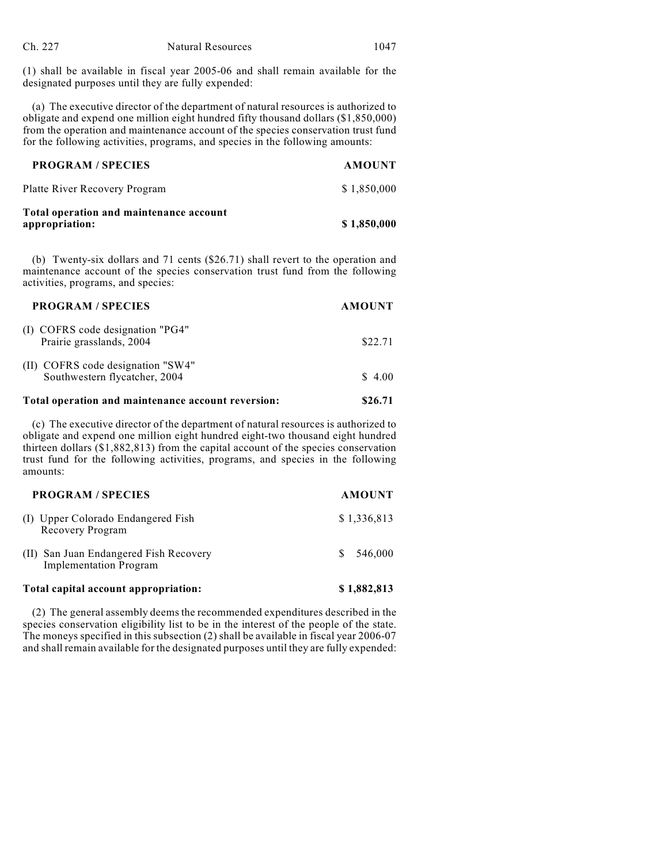(1) shall be available in fiscal year 2005-06 and shall remain available for the designated purposes until they are fully expended:

(a) The executive director of the department of natural resources is authorized to obligate and expend one million eight hundred fifty thousand dollars (\$1,850,000) from the operation and maintenance account of the species conservation trust fund for the following activities, programs, and species in the following amounts:

| <b>PROGRAM / SPECIES</b>                                  | <b>AMOUNT</b> |
|-----------------------------------------------------------|---------------|
| Platte River Recovery Program                             | \$1,850,000   |
| Total operation and maintenance account<br>appropriation: | \$1,850,000   |

(b) Twenty-six dollars and 71 cents (\$26.71) shall revert to the operation and maintenance account of the species conservation trust fund from the following activities, programs, and species:

| <b>PROGRAM / SPECIES</b>                                           | <b>AMOUNT</b> |
|--------------------------------------------------------------------|---------------|
| (I) COFRS code designation "PG4"<br>Prairie grasslands, 2004       | \$22.71       |
| (II) COFRS code designation "SW4"<br>Southwestern flycatcher, 2004 | \$4.00        |
|                                                                    |               |

## **Total operation and maintenance account reversion: \$26.71**

(c) The executive director of the department of natural resources is authorized to obligate and expend one million eight hundred eight-two thousand eight hundred thirteen dollars (\$1,882,813) from the capital account of the species conservation trust fund for the following activities, programs, and species in the following amounts:

| <b>PROGRAM / SPECIES</b>                                                | <b>AMOUNT</b> |
|-------------------------------------------------------------------------|---------------|
| (I) Upper Colorado Endangered Fish<br>Recovery Program                  | \$1,336,813   |
| (II) San Juan Endangered Fish Recovery<br><b>Implementation Program</b> | 546,000<br>S. |
| Total capital account appropriation:                                    | \$1,882,813   |

(2) The general assembly deems the recommended expenditures described in the species conservation eligibility list to be in the interest of the people of the state. The moneys specified in this subsection (2) shall be available in fiscal year 2006-07 and shall remain available for the designated purposes until they are fully expended: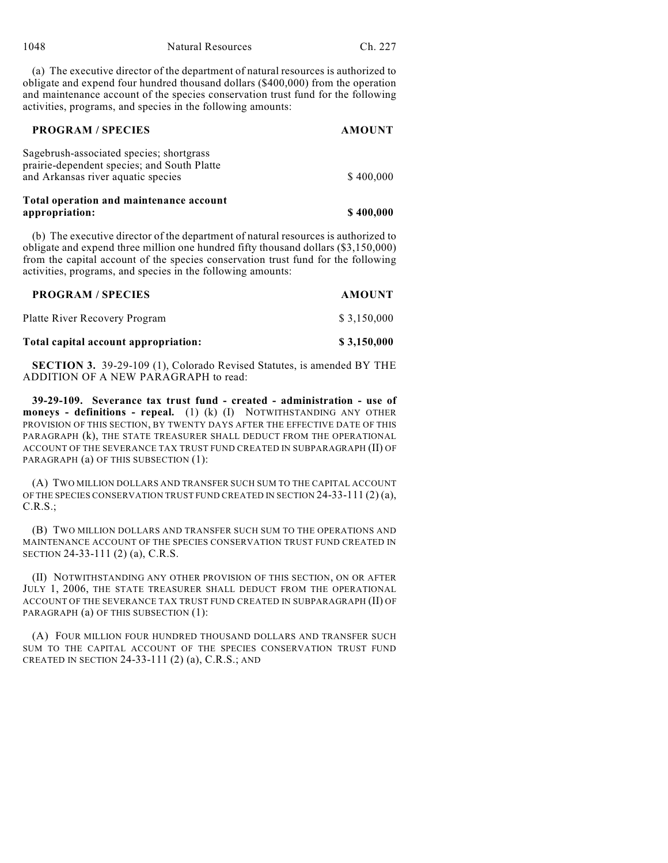(a) The executive director of the department of natural resources is authorized to obligate and expend four hundred thousand dollars (\$400,000) from the operation and maintenance account of the species conservation trust fund for the following activities, programs, and species in the following amounts:

| <b>PROGRAM / SPECIES</b>                                                                                                      | <b>AMOUNT</b> |
|-------------------------------------------------------------------------------------------------------------------------------|---------------|
| Sagebrush-associated species; shortgrass<br>prairie-dependent species; and South Platte<br>and Arkansas river aquatic species | \$400,000     |
| Total operation and maintenance account                                                                                       |               |
| appropriation:                                                                                                                | \$400,000     |

(b) The executive director of the department of natural resources is authorized to obligate and expend three million one hundred fifty thousand dollars (\$3,150,000) from the capital account of the species conservation trust fund for the following activities, programs, and species in the following amounts:

| <b>PROGRAM / SPECIES</b>             | <b>AMOUNT</b> |
|--------------------------------------|---------------|
| Platte River Recovery Program        | \$3.150.000   |
| Total capital account appropriation: | \$3,150,000   |

**SECTION 3.** 39-29-109 (1), Colorado Revised Statutes, is amended BY THE ADDITION OF A NEW PARAGRAPH to read:

**39-29-109. Severance tax trust fund - created - administration - use of moneys - definitions - repeal.** (1) (k) (I) NOTWITHSTANDING ANY OTHER PROVISION OF THIS SECTION, BY TWENTY DAYS AFTER THE EFFECTIVE DATE OF THIS PARAGRAPH (k), THE STATE TREASURER SHALL DEDUCT FROM THE OPERATIONAL ACCOUNT OF THE SEVERANCE TAX TRUST FUND CREATED IN SUBPARAGRAPH (II) OF PARAGRAPH (a) OF THIS SUBSECTION (1):

(A) TWO MILLION DOLLARS AND TRANSFER SUCH SUM TO THE CAPITAL ACCOUNT OF THE SPECIES CONSERVATION TRUST FUND CREATED IN SECTION 24-33-111 (2) (a), C.R.S.;

(B) TWO MILLION DOLLARS AND TRANSFER SUCH SUM TO THE OPERATIONS AND MAINTENANCE ACCOUNT OF THE SPECIES CONSERVATION TRUST FUND CREATED IN SECTION 24-33-111 (2) (a), C.R.S.

(II) NOTWITHSTANDING ANY OTHER PROVISION OF THIS SECTION, ON OR AFTER JULY 1, 2006, THE STATE TREASURER SHALL DEDUCT FROM THE OPERATIONAL ACCOUNT OF THE SEVERANCE TAX TRUST FUND CREATED IN SUBPARAGRAPH (II) OF PARAGRAPH (a) OF THIS SUBSECTION (1):

(A) FOUR MILLION FOUR HUNDRED THOUSAND DOLLARS AND TRANSFER SUCH SUM TO THE CAPITAL ACCOUNT OF THE SPECIES CONSERVATION TRUST FUND CREATED IN SECTION 24-33-111 (2) (a), C.R.S.; AND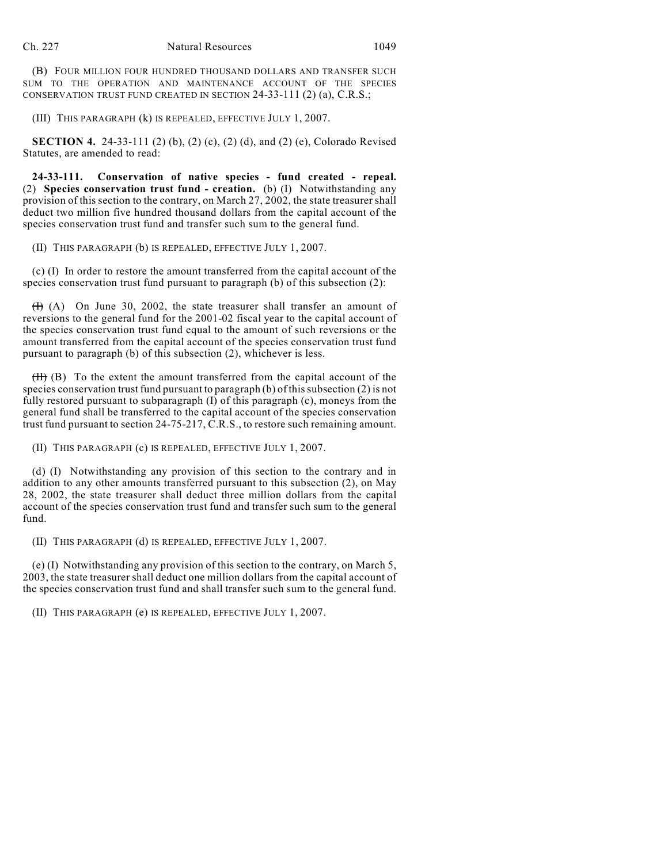(B) FOUR MILLION FOUR HUNDRED THOUSAND DOLLARS AND TRANSFER SUCH SUM TO THE OPERATION AND MAINTENANCE ACCOUNT OF THE SPECIES CONSERVATION TRUST FUND CREATED IN SECTION 24-33-111 (2) (a), C.R.S.;

(III) THIS PARAGRAPH (k) IS REPEALED, EFFECTIVE JULY 1, 2007.

**SECTION 4.** 24-33-111 (2) (b), (2) (c), (2) (d), and (2) (e), Colorado Revised Statutes, are amended to read:

**24-33-111. Conservation of native species - fund created - repeal.** (2) **Species conservation trust fund - creation.** (b) (I) Notwithstanding any provision of this section to the contrary, on March 27, 2002, the state treasurer shall deduct two million five hundred thousand dollars from the capital account of the species conservation trust fund and transfer such sum to the general fund.

(II) THIS PARAGRAPH (b) IS REPEALED, EFFECTIVE JULY 1, 2007.

(c) (I) In order to restore the amount transferred from the capital account of the species conservation trust fund pursuant to paragraph (b) of this subsection (2):

(I) (A) On June 30, 2002, the state treasurer shall transfer an amount of reversions to the general fund for the 2001-02 fiscal year to the capital account of the species conservation trust fund equal to the amount of such reversions or the amount transferred from the capital account of the species conservation trust fund pursuant to paragraph (b) of this subsection (2), whichever is less.

 $(H)$  (B) To the extent the amount transferred from the capital account of the species conservation trust fund pursuant to paragraph (b) of this subsection (2) is not fully restored pursuant to subparagraph (I) of this paragraph (c), moneys from the general fund shall be transferred to the capital account of the species conservation trust fund pursuant to section 24-75-217, C.R.S., to restore such remaining amount.

(II) THIS PARAGRAPH (c) IS REPEALED, EFFECTIVE JULY 1, 2007.

(d) (I) Notwithstanding any provision of this section to the contrary and in addition to any other amounts transferred pursuant to this subsection (2), on May 28, 2002, the state treasurer shall deduct three million dollars from the capital account of the species conservation trust fund and transfer such sum to the general fund.

(II) THIS PARAGRAPH (d) IS REPEALED, EFFECTIVE JULY 1, 2007.

(e) (I) Notwithstanding any provision of this section to the contrary, on March 5, 2003, the state treasurer shall deduct one million dollars from the capital account of the species conservation trust fund and shall transfer such sum to the general fund.

(II) THIS PARAGRAPH (e) IS REPEALED, EFFECTIVE JULY 1, 2007.